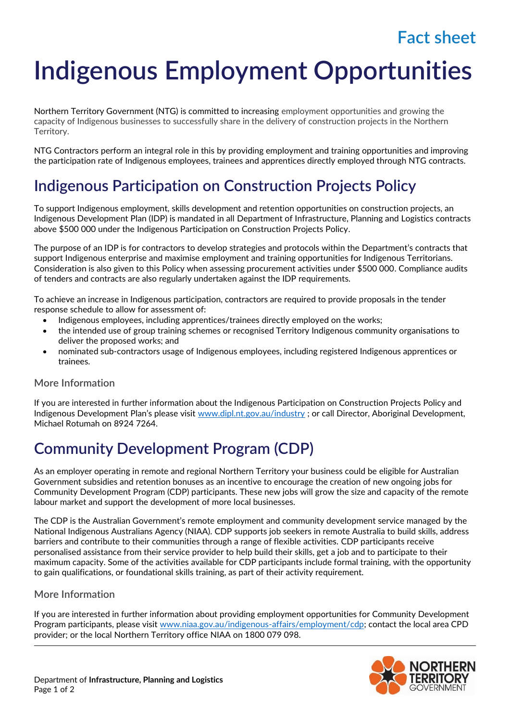## **Fact sheet**

# **Indigenous Employment Opportunities**

Northern Territory Government (NTG) is committed to increasing employment opportunities and growing the capacity of Indigenous businesses to successfully share in the delivery of construction projects in the Northern Territory.

NTG Contractors perform an integral role in this by providing employment and training opportunities and improving the participation rate of Indigenous employees, trainees and apprentices directly employed through NTG contracts.

### **Indigenous Participation on Construction Projects Policy**

To support Indigenous employment, skills development and retention opportunities on construction projects, an Indigenous Development Plan (IDP) is mandated in all Department of Infrastructure, Planning and Logistics contracts above \$500 000 under the Indigenous Participation on Construction Projects Policy.

The purpose of an IDP is for contractors to develop strategies and protocols within the Department's contracts that support Indigenous enterprise and maximise employment and training opportunities for Indigenous Territorians. Consideration is also given to this Policy when assessing procurement activities under \$500 000. Compliance audits of tenders and contracts are also regularly undertaken against the IDP requirements.

To achieve an increase in Indigenous participation, contractors are required to provide proposals in the tender response schedule to allow for assessment of:

- Indigenous employees, including apprentices/trainees directly employed on the works;
- the intended use of group training schemes or recognised Territory Indigenous community organisations to deliver the proposed works; and
- nominated sub-contractors usage of Indigenous employees, including registered Indigenous apprentices or trainees.

### **More Information**

If you are interested in further information about the Indigenous Participation on Construction Projects Policy and Indigenous Development Plan's please visit [www.dipl.nt.gov.au/industry](http://www.dipl.nt.gov.au/industry) ; or call Director, Aboriginal Development, Michael Rotumah on 8924 7264.

### **Community Development Program (CDP)**

As an employer operating in remote and regional Northern Territory your business could be eligible for Australian Government subsidies and retention bonuses as an incentive to encourage the creation of new ongoing jobs for Community Development Program (CDP) participants. These new jobs will grow the size and capacity of the remote labour market and support the development of more local businesses.

The CDP is the Australian Government's remote employment and community development service managed by the National Indigenous Australians Agency (NIAA). CDP supports job seekers in remote Australia to build skills, address barriers and contribute to their communities through a range of flexible activities. CDP participants receive personalised assistance from their service provider to help build their skills, get a job and to participate to their maximum capacity. Some of the activities available for CDP participants include formal training, with the opportunity to gain qualifications, or foundational skills training, as part of their activity requirement.

### **More Information**

If you are interested in further information about providing employment opportunities for Community Development Program participants, please visit [www.niaa.gov.au/indigenous-affairs/employment/cdp;](http://www.niaa.gov.au/indigenous-affairs/employment/cdp) contact the local area CPD provider; or the local Northern Territory office NIAA on 1800 079 098.